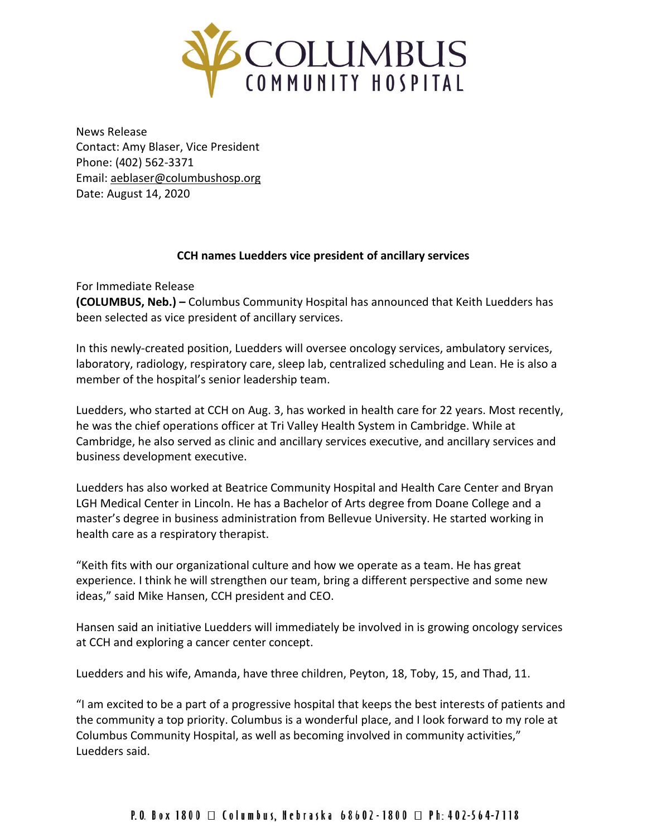

News Release Contact: Amy Blaser, Vice President Phone: (402) 562-3371 Email: [aeblaser@columbushosp.org](mailto:aeblaser@columbushosp.org) Date: August 14, 2020

## **CCH names Luedders vice president of ancillary services**

For Immediate Release

**(COLUMBUS, Neb.) –** Columbus Community Hospital has announced that Keith Luedders has been selected as vice president of ancillary services.

In this newly-created position, Luedders will oversee oncology services, ambulatory services, laboratory, radiology, respiratory care, sleep lab, centralized scheduling and Lean. He is also a member of the hospital's senior leadership team.

Luedders, who started at CCH on Aug. 3, has worked in health care for 22 years. Most recently, he was the chief operations officer at Tri Valley Health System in Cambridge. While at Cambridge, he also served as clinic and ancillary services executive, and ancillary services and business development executive.

Luedders has also worked at Beatrice Community Hospital and Health Care Center and Bryan LGH Medical Center in Lincoln. He has a Bachelor of Arts degree from Doane College and a master's degree in business administration from Bellevue University. He started working in health care as a respiratory therapist.

"Keith fits with our organizational culture and how we operate as a team. He has great experience. I think he will strengthen our team, bring a different perspective and some new ideas," said Mike Hansen, CCH president and CEO.

Hansen said an initiative Luedders will immediately be involved in is growing oncology services at CCH and exploring a cancer center concept.

Luedders and his wife, Amanda, have three children, Peyton, 18, Toby, 15, and Thad, 11.

"I am excited to be a part of a progressive hospital that keeps the best interests of patients and the community a top priority. Columbus is a wonderful place, and I look forward to my role at Columbus Community Hospital, as well as becoming involved in community activities," Luedders said.